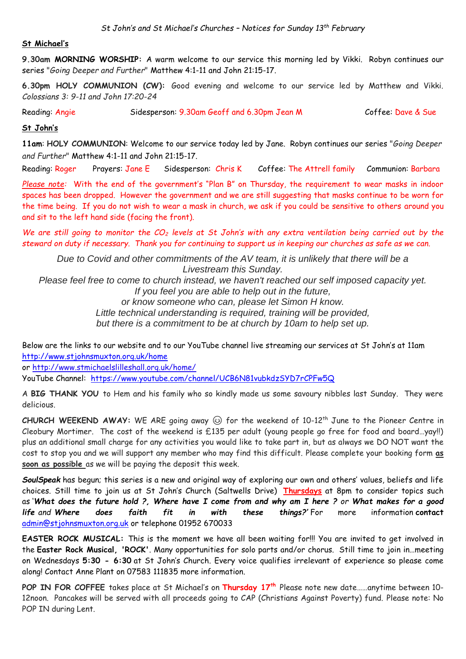#### **St Michael's**

**9.30am MORNING WORSHIP:** A warm welcome to our service this morning led by Vikki. Robyn continues our series "*Going Deeper and Further*" Matthew 4:1-11 and John 21:15-17.

**6.30pm HOLY COMMUNION (CW):** Good evening and welcome to our service led by Matthew and Vikki. *Colossians 3: 9-11 and John 17:20-24*

Reading: Angie Sidesperson: 9.30am Geoff and 6.30pm Jean M Coffee: Dave & Sue

### **St John's**

**11am**: **HOLY COMMUNION**: Welcome to our service today led by Jane. Robyn continues our series "*Going Deeper and Further*" Matthew 4:1-11 and John 21:15-17.

Reading: Roger Prayers: Jane E Sidesperson: Chris K Coffee: The Attrell family Communion: Barbara

*Please note:* With the end of the government's "Plan B" on Thursday, the requirement to wear masks in indoor spaces has been dropped. However the government and we are still suggesting that masks continue to be worn for the time being. If you do not wish to wear a mask in church, we ask if you could be sensitive to others around you and sit to the left hand side (facing the front).

*We are still going to monitor the CO<sup>2</sup> levels at St John's with any extra ventilation being carried out by the steward on duty if necessary. Thank you for continuing to support us in keeping our churches as safe as we can.* 

*Due to Covid and other commitments of the AV team, it is unlikely that there will be a Livestream this Sunday.* 

*Please feel free to come to church instead, we haven't reached our self imposed capacity yet.*

*If you feel you are able to help out in the future,* 

*or know someone who can, please let Simon H know.*

*Little technical understanding is required, training will be provided, but there is a commitment to be at church by 10am to help set up.*

Below are the links to our website and to our YouTube channel live streaming our services at St John's at 11am <http://www.stjohnsmuxton.org.uk/home>

or<http://www.stmichaelslilleshall.org.uk/home/>

YouTube Channel: <https://www.youtube.com/channel/UCB6N81vubkdzSYD7rCPFw5Q>

A **BIG THANK YOU** to Hem and his family who so kindly made us some savoury nibbles last Sunday. They were delicious.

**CHURCH WEEKEND AWAY:** WE ARE going away for the weekend of 10-12th June to the Pioneer Centre in Cleobury Mortimer. The cost of the weekend is £135 per adult (young people go free for food and board…yay!!) plus an additional small charge for any activities you would like to take part in, but as always we DO NOT want the cost to stop you and we will support any member who may find this difficult. Please complete your booking form **as soon as possible** as we will be paying the deposit this week.

*SoulSpeak* has begun; this series is a new and original way of exploring our own and others' values, beliefs and life choices. Still time to join us at St John's Church (Saltwells Drive) **Thursdays** at 8pm to consider topics such as '*What does the future hold ?, Where have I come from and why am I here ? or What makes for a good life and Where does faith fit in with these things?'* For more information **contact**  [admin@stjohnsmuxton.org.uk](mailto:admin@stjohnsmuxton.org.uk) or telephone 01952 670033

**EASTER ROCK MUSICAL:** This is the moment we have all been waiting for!!! You are invited to get involved in the **Easter Rock Musical, 'ROCK'**. Many opportunities for solo parts and/or chorus. Still time to join in…meeting on Wednesdays **5:30 - 6:30** at St John's Church. Every voice qualifies irrelevant of experience so please come along! Contact Anne Plant on 07583 111835 more information.

**POP IN FOR COFFEE** takes place at St Michael's on **Thursday 17 th** Please note new date……anytime between 10- 12noon. Pancakes will be served with all proceeds going to CAP (Christians Against Poverty) fund. Please note: No POP IN during Lent.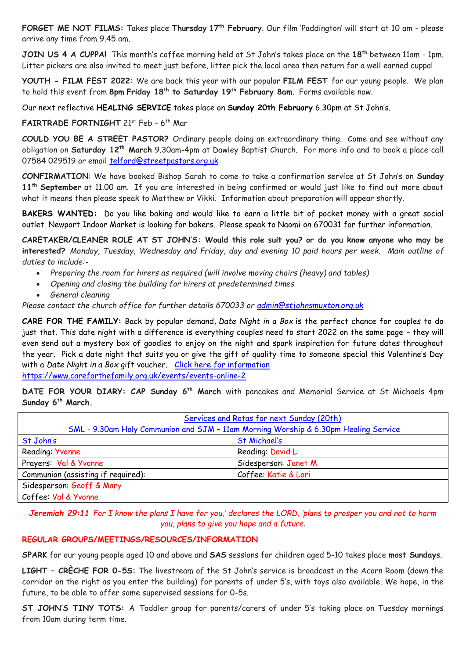**FORGET ME NOT FILMS:** Takes place **Thursday 17th February**. Our film 'Paddington' will start at 10 am - please arrive any time from 9.45 am.

**JOIN US 4 A CUPPA!** This month's coffee morning held at St John's takes place on the **18th** between 11am - 1pm. Litter pickers are also invited to meet just before, litter pick the local area then return for a well earned cuppa!

**YOUTH - FILM FEST 2022:** We are back this year with our popular **FILM FEST** for our young people. We plan to hold this event from **8pm Friday 18th to Saturday 19th February 8am**. Forms available now.

Our next reflective **HEALING SERVICE** takes place on **Sunday 20th February** 6.30pm at St John's.

**FAIRTRADE FORTNIGHT** 21st Feb – 6 th Mar

**COULD YOU BE A STREET PASTOR?** Ordinary people doing an extraordinary thing. Come and see without any obligation on **Saturday 12th March** 9.30am-4pm at Dawley Baptist Church. For more info and to book a place call 07584 029519 or email [telford@streetpastors.org.uk](mailto:telford@streetpastors.org.uk)

**CONFIRMATION**: We have booked Bishop Sarah to come to take a confirmation service at St John's on **Sunday 11th September** at 11.00 am. If you are interested in being confirmed or would just like to find out more about what it means then please speak to Matthew or Vikki. Information about preparation will appear shortly.

**BAKERS WANTED:** Do you like baking and would like to earn a little bit of pocket money with a great social outlet. Newport Indoor Market is looking for bakers. Please speak to Naomi on 670031 for further information.

**CARETAKER/CLEANER ROLE AT ST JOHN'S: Would this role suit you? or do you know anyone who may be interested?** *Monday, Tuesday, Wednesday and Friday, day and evening 10 paid hours per week. Main outline of duties to include:-*

- *Preparing the room for hirers as required (will involve moving chairs (heavy) and tables)*
- *Opening and closing the building for hirers at predetermined times*
- *General cleaning*

*Please contact the church office for further details 670033 or [admin@stjohnsmuxton.org.uk](mailto:admin@stjohnsmuxton.org.uk)*

**CARE FOR THE FAMILY:** Back by popular demand, *Date Night in a Box* is the perfect chance for couples to do just that. This date night with a difference is everything couples need to start 2022 on the same page – they will even send out a mystery box of goodies to enjoy on the night and spark inspiration for future dates throughout the year. Pick a date night that suits you or give the gift of quality time to someone special this Valentine's Day with a Date Night in a Box gift voucher. [Click here for information](https://www.careforthefamily.org.uk/events/events-online-2/date-night-in-a-box?utm_source=DNIAB_EM1&utm_medium=DNIAB_EM1&utm_campaign=DNIAB_EM1 ) <https://www.careforthefamily.org.uk/events/events-online-2>

**DATE FOR YOUR DIARY: CAP Sunday 6th March** with pancakes and Memorial Service at St Michaels 4pm **Sunday 6th March.**

| Services and Rotas for next Sunday (20th)<br>SML - 9.30am Holy Communion and SJM - 11am Morning Worship & 6.30pm Healing Service |                      |
|----------------------------------------------------------------------------------------------------------------------------------|----------------------|
| St John's                                                                                                                        | St Michael's         |
| Reading: Yvonne                                                                                                                  | Reading: David L     |
| Prayers: Val & Yvonne                                                                                                            | Sidesperson: Janet M |
| Communion (assisting if required):                                                                                               | Coffee: Katie & Lori |
| Sidesperson: Geoff & Mary                                                                                                        |                      |
| Coffee: Val & Yvonne                                                                                                             |                      |

*Jeremiah 29:11 For I know the plans I have for you,' declares the LORD, 'plans to prosper you and not to harm you, plans to give you hope and a future*.

#### **REGULAR GROUPS/MEETINGS/RESOURCES/INFORMATION**

**SPARK** for our young people aged 10 and above and **SAS** sessions for children aged 5-10 takes place **most Sundays**.

**LIGHT – CRÈCHE FOR 0-5S:** The livestream of the St John's service is broadcast in the Acorn Room (down the corridor on the right as you enter the building) for parents of under 5's, with toys also available. We hope, in the future, to be able to offer some supervised sessions for 0-5s.

**ST JOHN'S TINY TOTS:** A Toddler group for parents/carers of under 5's taking place on Tuesday mornings from 10am during term time.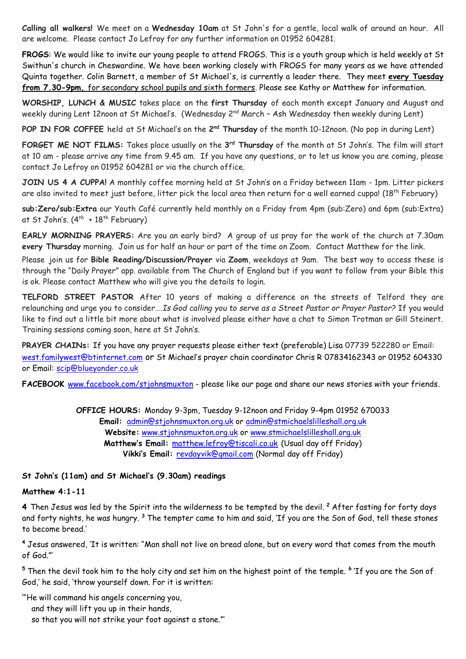**Calling all walkers!** We meet on a **Wednesday 10am** at St John's for a gentle, local walk of around an hour. All are welcome. Please contact Jo Lefroy for any further information on 01952 604281.

**FROGS**: We would like to invite our young people to attend FROGS. This is a youth group which is held weekly at St Swithun's church in Cheswardine. We have been working closely with FROGS for many years as we have attended Quinta together. Colin Barnett, a member of St Michael's, is currently a leader there. They meet **every Tuesday from 7.30-9pm,** for secondary school pupils and sixth formers. Please see Kathy or Matthew for information.

**WORSHIP, LUNCH & MUSIC** takes place on the **first Thursday** of each month except January and August and weekly during Lent 12noon at St Michael's. (Wednesday 2<sup>nd</sup> March – Ash Wednesday then weekly during Lent)

**POP IN FOR COFFEE** held at St Michael's on the 2<sup>nd</sup> Thursday of the month 10-12noon. (No pop in during Lent)

**FORGET ME NOT FILMS:** Takes place usually on the **3 rd Thursday** of the month at St John's. The film will start at 10 am - please arrive any time from 9.45 am. If you have any questions, or to let us know you are coming, please contact Jo Lefroy on 01952 604281 or via the church office.

**JOIN US 4 A CUPPA!** A monthly coffee morning held at St John's on a Friday between 11am - 1pm. Litter pickers are also invited to meet just before, litter pick the local area then return for a well earned cuppa! (18<sup>th</sup> February)

**sub:Zero/sub:Extra** our Youth Café currently held monthly on a Friday from 4pm (sub:Zero) and 6pm (sub:Extra) at St John's. (4<sup>th</sup> +18<sup>th</sup> February)

**EARLY MORNING PRAYERS:** Are you an early bird? A group of us pray for the work of the church at 7.30am **every Thursday** morning. Join us for half an hour or part of the time on Zoom. Contact Matthew for the link.

Please join us for **Bible Reading/Discussion/Prayer** via **Zoom**, weekdays at 9am. The best way to access these is through the "Daily Prayer" app. available from The Church of England but if you want to follow from your Bible this is ok. Please contact Matthew who will give you the details to login.

**TELFORD STREET PASTOR** After 10 years of making a difference on the streets of Telford they are relaunching and urge you to consider….*Is God calling you to serve as a Street Pastor or Prayer Pastor?* If you would like to find out a little bit more about what is involved please either have a chat to Simon Trotman or Gill Steinert. Training sessions coming soon, here at St John's.

**PRAYER CHAINs:** If you have any prayer requests please either text (preferable) Lisa 07739 522280 or Email: [west.familywest@btinternet.com](mailto:west.familywest@btinternet.com) or St Michael's prayer chain coordinator Chris R 07834162343 or 01952 604330 or Email: [scip@blueyonder.co.uk](mailto:scip@blueyonder.co.uk)

**FACEBOOK** [www.facebook.com/stjohnsmuxton](http://www.facebook.com/stjohnsmuxton) - please like our page and share our news stories with your friends.

**OFFICE HOURS:** Monday 9-3pm, Tuesday 9-12noon and Friday 9-4pm 01952 670033 **Email:** admin[@stjohnsmuxton.o](http://stjohnsmuxton/)rg.uk or [admin@stmichaelslilleshall.org.uk](mailto:admin@stmichaelslilleshall.org.uk) **Website:** [www.stjohnsmuxton.org.uk](http://www.stjohnsmuxton.org.uk/) or www.stmichaelslilleshall.org.uk **Matthew's Email:** [matthew.lefroy@tiscali.co.uk](mailto:matthew.lefroy@tiscali.co.uk) (Usual day off Friday) **Vikki's Email:** [revdayvik@gmail.com](mailto:revdayvik@gmail.com) (Normal day off Friday)

## **St John's (11am) and St Michael's (9.30am) readings**

#### **Matthew 4:1-11**

**4** Then Jesus was led by the Spirit into the wilderness to be tempted by the devil. **<sup>2</sup>** After fasting for forty days and forty nights, he was hungry. **<sup>3</sup>** The tempter came to him and said, 'If you are the Son of God, tell these stones to become bread.'

**<sup>4</sup>** Jesus answered, 'It is written: "Man shall not live on bread alone, but on every word that comes from the mouth of God."'

**<sup>5</sup>** Then the devil took him to the holy city and set him on the highest point of the temple. **<sup>6</sup>** 'If you are the Son of God,' he said, 'throw yourself down. For it is written:

'"He will command his angels concerning you, and they will lift you up in their hands, so that you will not strike your foot against a stone."'